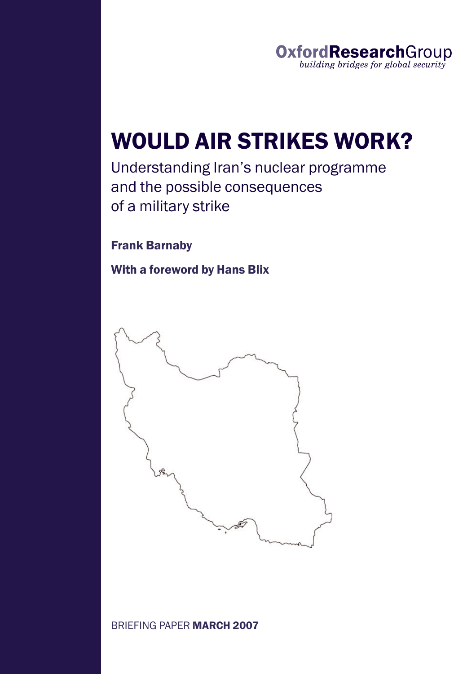

# WOULD AIR STRIKES WORK?

Understanding Iran's nuclear programme and the possible consequences of a military strike

Frank Barnaby

With a foreword by Hans Blix



BRIEFING PAPER MARCH 2007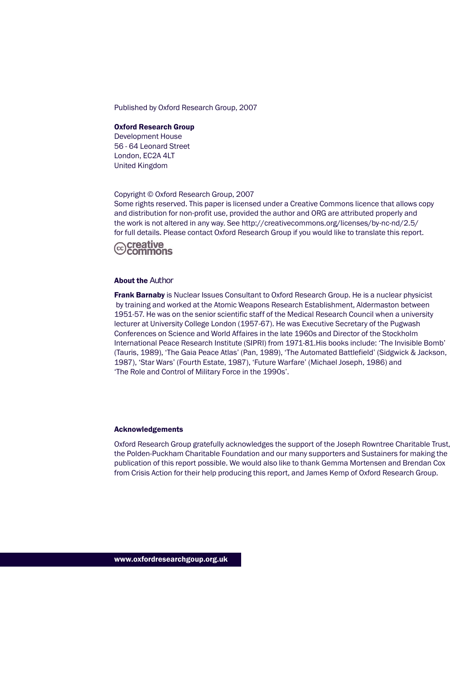Published by Oxford Research Group, 2007

#### Oxford Research Group

Development House 56 - 64 Leonard Street London, EC2A 4LT United Kingdom

Copyright © Oxford Research Group, 2007

Some rights reserved. This paper is licensed under a Creative Commons licence that allows copy and distribution for non-profit use, provided the author and ORG are attributed properly and the work is not altered in any way. See http://creativecommons.org/licenses/by-nc-nd/2.5/ for full details. Please contact Oxford Research Group if you would like to translate this report.



### About the Author

Frank Barnaby is Nuclear Issues Consultant to Oxford Research Group. He is a nuclear physicist by training and worked at the Atomic Weapons Research Establishment, Aldermaston between 1951-57. He was on the senior scientific staff of the Medical Research Council when a university lecturer at University College London (1957-67). He was Executive Secretary of the Pugwash Conferences on Science and World Affaires in the late 1960s and Director of the Stockholm International Peace Research Institute (SIPRI) from 1971-81.His books include: 'The Invisible Bomb' (Tauris, 1989), 'The Gaia Peace Atlas' (Pan, 1989), 'The Automated Battlefield' (Sidgwick & Jackson, 1987), 'Star Wars' (Fourth Estate, 1987), 'Future Warfare' (Michael Joseph, 1986) and 'The Role and Control of Military Force in the 1990s'.

#### Acknowledgements

Oxford Research Group gratefully acknowledges the support of the Joseph Rowntree Charitable Trust, the Polden-Puckham Charitable Foundation and our many supporters and Sustainers for making the publication of this report possible. We would also like to thank Gemma Mortensen and Brendan Cox from Crisis Action for their help producing this report, and James Kemp of Oxford Research Group.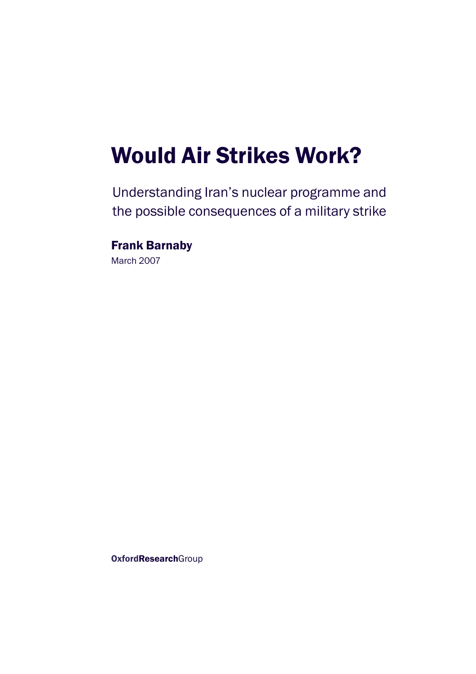# Would Air Strikes Work?

Understanding Iran's nuclear programme and the possible consequences of a military strike

Frank Barnaby

March 2007

**OxfordResearchGroup**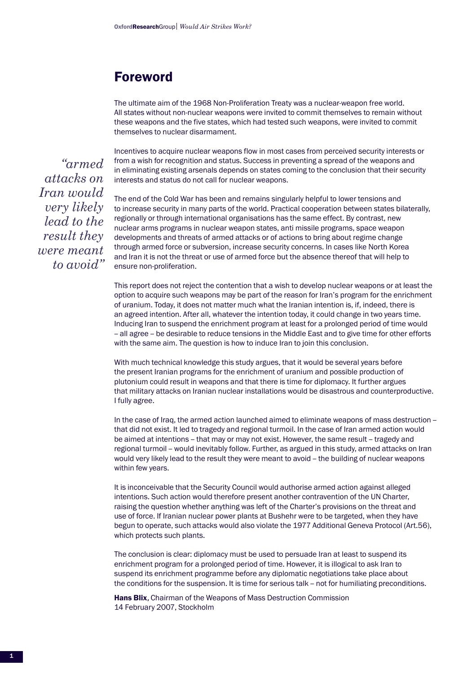# Foreword

The ultimate aim of the 1968 Non-Proliferation Treaty was a nuclear-weapon free world. All states without non-nuclear weapons were invited to commit themselves to remain without these weapons and the five states, which had tested such weapons, were invited to commit themselves to nuclear disarmament.

Incentives to acquire nuclear weapons flow in most cases from perceived security interests or from a wish for recognition and status. Success in preventing a spread of the weapons and in eliminating existing arsenals depends on states coming to the conclusion that their security interests and status do not call for nuclear weapons.

The end of the Cold War has been and remains singularly helpful to lower tensions and to increase security in many parts of the world. Practical cooperation between states bilaterally, regionally or through international organisations has the same effect. By contrast, new nuclear arms programs in nuclear weapon states, anti missile programs, space weapon developments and threats of armed attacks or of actions to bring about regime change through armed force or subversion, increase security concerns. In cases like North Korea and Iran it is not the threat or use of armed force but the absence thereof that will help to ensure non-proliferation.

This report does not reject the contention that a wish to develop nuclear weapons or at least the option to acquire such weapons may be part of the reason for Iran's program for the enrichment of uranium. Today, it does not matter much what the Iranian intention is, if, indeed, there is an agreed intention. After all, whatever the intention today, it could change in two years time. Inducing Iran to suspend the enrichment program at least for a prolonged period of time would - all agree - be desirable to reduce tensions in the Middle East and to give time for other efforts with the same aim. The question is how to induce Iran to join this conclusion.

With much technical knowledge this study argues, that it would be several years before the present Iranian programs for the enrichment of uranium and possible production of plutonium could result in weapons and that there is time for diplomacy. It further argues that military attacks on Iranian nuclear installations would be disastrous and counterproductive. I fully agree.

In the case of Iraq, the armed action launched aimed to eliminate weapons of mass destruction that did not exist. It led to tragedy and regional turmoil. In the case of Iran armed action would be aimed at intentions – that may or may not exist. However, the same result – tragedy and regional turmoil – would inevitably follow. Further, as argued in this study, armed attacks on Iran would very likely lead to the result they were meant to avoid - the building of nuclear weapons within few years.

It is inconceivable that the Security Council would authorise armed action against alleged intentions. Such action would therefore present another contravention of the UN Charter, raising the question whether anything was left of the Charter's provisions on the threat and use of force. If Iranian nuclear power plants at Bushehr were to be targeted, when they have begun to operate, such attacks would also violate the 1977 Additional Geneva Protocol (Art.56), which protects such plants.

The conclusion is clear: diplomacy must be used to persuade Iran at least to suspend its enrichment program for a prolonged period of time. However, it is illogical to ask Iran to suspend its enrichment programme before any diplomatic negotiations take place about the conditions for the suspension. It is time for serious talk – not for humiliating preconditions.

Hans Blix, Chairman of the Weapons of Mass Destruction Commission 14 February 2007, Stockholm

*"armed attacks on Iran would very likely lead to the result they were meant to avoid"*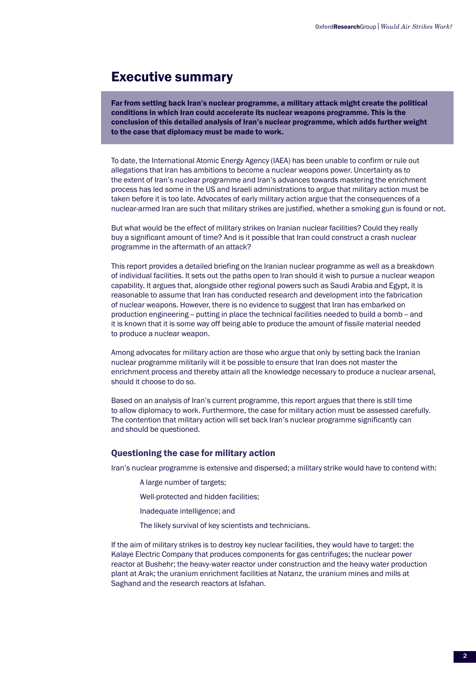# Executive summary

Far from setting back Iran's nuclear programme, a military attack might create the political conditions in which Iran could accelerate its nuclear weapons programme. This is the conclusion of this detailed analysis of Iran's nuclear programme, which adds further weight to the case that diplomacy must be made to work.

To date, the International Atomic Energy Agency (IAEA) has been unable to confirm or rule out allegations that Iran has ambitions to become a nuclear weapons power. Uncertainty as to the extent of Iran's nuclear programme and Iran's advances towards mastering the enrichment process has led some in the US and Israeli administrations to argue that military action must be taken before it is too late. Advocates of early military action argue that the consequences of a nuclear-armed Iran are such that military strikes are justified, whether a smoking gun is found or not.

But what would be the effect of military strikes on Iranian nuclear facilities? Could they really buy a significant amount of time? And is it possible that Iran could construct a crash nuclear programme in the aftermath of an attack?

This report provides a detailed briefing on the Iranian nuclear programme as well as a breakdown of individual facilities. It sets out the paths open to Iran should it wish to pursue a nuclear weapon capability. It argues that, alongside other regional powers such as Saudi Arabia and Egypt, it is reasonable to assume that Iran has conducted research and development into the fabrication of nuclear weapons. However, there is no evidence to suggest that Iran has embarked on production engineering - putting in place the technical facilities needed to build a bomb - and it is known that it is some way off being able to produce the amount of fissile material needed to produce a nuclear weapon.

Among advocates for military action are those who argue that only by setting back the Iranian nuclear programme militarily will it be possible to ensure that Iran does not master the enrichment process and thereby attain all the knowledge necessary to produce a nuclear arsenal, should it choose to do so.

Based on an analysis of Iran's current programme, this report argues that there is still time to allow diplomacy to work. Furthermore, the case for military action must be assessed carefully. The contention that military action will set back Iran's nuclear programme significantly can and should be questioned.

# Questioning the case for military action

Iran's nuclear programme is extensive and dispersed; a military strike would have to contend with:

- A large number of targets;
- Well-protected and hidden facilities;
- Inadequate intelligence; and
- The likely survival of key scientists and technicians.

If the aim of military strikes is to destroy key nuclear facilities, they would have to target: the Kalaye Electric Company that produces components for gas centrifuges; the nuclear power reactor at Bushehr; the heavy-water reactor under construction and the heavy water production plant at Arak; the uranium enrichment facilities at Natanz, the uranium mines and mills at Saghand and the research reactors at Isfahan.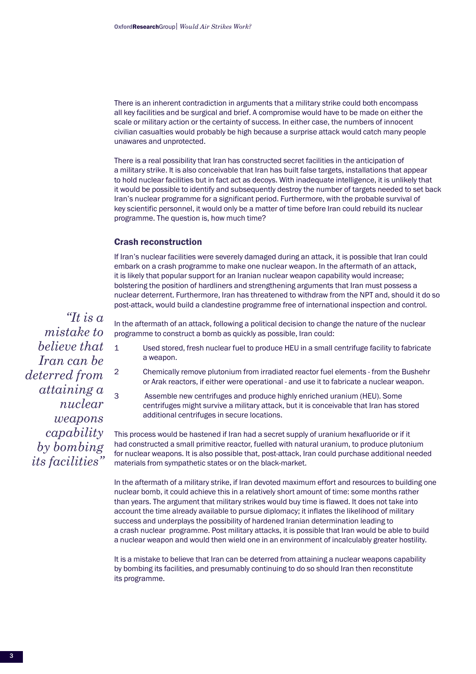There is an inherent contradiction in arguments that a military strike could both encompass all key facilities and be surgical and brief. A compromise would have to be made on either the scale or military action or the certainty of success. In either case, the numbers of innocent civilian casualties would probably be high because a surprise attack would catch many people unawares and unprotected.

There is a real possibility that Iran has constructed secret facilities in the anticipation of a military strike. It is also conceivable that Iran has built false targets, installations that appear to hold nuclear facilities but in fact act as decoys. With inadequate intelligence, it is unlikely that it would be possible to identify and subsequently destroy the number of targets needed to set back Iran's nuclear programme for a significant period. Furthermore, with the probable survival of key scientific personnel, it would only be a matter of time before Iran could rebuild its nuclear programme. The question is, how much time?

## Crash reconstruction

If Iran's nuclear facilities were severely damaged during an attack, it is possible that Iran could embark on a crash programme to make one nuclear weapon. In the aftermath of an attack, it is likely that popular support for an Iranian nuclear weapon capability would increase; bolstering the position of hardliners and strengthening arguments that Iran must possess a nuclear deterrent. Furthermore, Iran has threatened to withdraw from the NPT and, should it do so post-attack, would build a clandestine programme free of international inspection and control.

*"It is a mistake to believe that Iran can be deterred from attaining a nuclear weapons capability by bombing its facilities"*

In the aftermath of an attack, following a political decision to change the nature of the nuclear programme to construct a bomb as quickly as possible, Iran could:

- 1 Used stored, fresh nuclear fuel to produce HEU in a small centrifuge facility to fabricate a weapon.
- 2 Chemically remove plutonium from irradiated reactor fuel elements from the Bushehr or Arak reactors, if either were operational - and use it to fabricate a nuclear weapon.
- 3 Assemble new centrifuges and produce highly enriched uranium (HEU). Some centrifuges might survive a military attack, but it is conceivable that Iran has stored additional centrifuges in secure locations.

This process would be hastened if Iran had a secret supply of uranium hexafluoride or if it had constructed a small primitive reactor, fuelled with natural uranium, to produce plutonium for nuclear weapons. It is also possible that, post-attack, Iran could purchase additional needed materials from sympathetic states or on the black-market.

In the aftermath of a military strike, if Iran devoted maximum effort and resources to building one nuclear bomb, it could achieve this in a relatively short amount of time: some months rather than years. The argument that military strikes would buy time is flawed. It does not take into account the time already available to pursue diplomacy; it inflates the likelihood of military success and underplays the possibility of hardened Iranian determination leading to a crash nuclear programme. Post military attacks, it is possible that Iran would be able to build a nuclear weapon and would then wield one in an environment of incalculably greater hostility.

It is a mistake to believe that Iran can be deterred from attaining a nuclear weapons capability by bombing its facilities, and presumably continuing to do so should Iran then reconstitute its programme.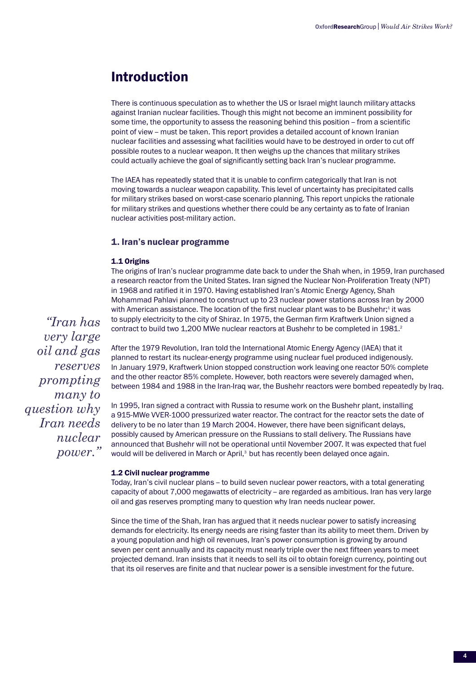# Introduction

There is continuous speculation as to whether the US or Israel might launch military attacks against Iranian nuclear facilities. Though this might not become an imminent possibility for some time, the opportunity to assess the reasoning behind this position - from a scientific point of view - must be taken. This report provides a detailed account of known Iranian nuclear facilities and assessing what facilities would have to be destroyed in order to cut off possible routes to a nuclear weapon. It then weighs up the chances that military strikes could actually achieve the goal of significantly setting back Iran's nuclear programme.

The IAEA has repeatedly stated that it is unable to confirm categorically that Iran is not moving towards a nuclear weapon capability. This level of uncertainty has precipitated calls for military strikes based on worst-case scenario planning. This report unpicks the rationale for military strikes and questions whether there could be any certainty as to fate of Iranian nuclear activities post-military action.

# 1. Iran's nuclear programme

### 1.1 Origins

The origins of Iran's nuclear programme date back to under the Shah when, in 1959, Iran purchased a research reactor from the United States. Iran signed the Nuclear Non-Proliferation Treaty (NPT) in 1968 and ratified it in 1970. Having established Iran's Atomic Energy Agency, Shah Mohammad Pahlavi planned to construct up to 23 nuclear power stations across Iran by 2000 with American assistance. The location of the first nuclear plant was to be Bushehr;<sup>1</sup> it was to supply electricity to the city of Shiraz. In 1975, the German firm Kraftwerk Union signed a contract to build two 1,200 MWe nuclear reactors at Bushehr to be completed in 1981.<sup>2</sup>

*"Iran has very large oil and gas reserves prompting many to question why Iran needs nuclear power."*

After the 1979 Revolution, Iran told the International Atomic Energy Agency (IAEA) that it planned to restart its nuclear-energy programme using nuclear fuel produced indigenously. In January 1979, Kraftwerk Union stopped construction work leaving one reactor 50% complete and the other reactor 85% complete. However, both reactors were severely damaged when, between 1984 and 1988 in the Iran-Iraq war, the Bushehr reactors were bombed repeatedly by Iraq.

In 1995, Iran signed a contract with Russia to resume work on the Bushehr plant, installing a 915-MWe VVER-1000 pressurized water reactor. The contract for the reactor sets the date of delivery to be no later than 19 March 2004. However, there have been significant delays, possibly caused by American pressure on the Russians to stall delivery. The Russians have announced that Bushehr will not be operational until November 2007. It was expected that fuel would will be delivered in March or April,<sup>3</sup> but has recently been delayed once again.

#### 1.2 Civil nuclear programme

Today, Iran's civil nuclear plans - to build seven nuclear power reactors, with a total generating capacity of about 7,000 megawatts of electricity - are regarded as ambitious. Iran has very large oil and gas reserves prompting many to question why Iran needs nuclear power.

Since the time of the Shah, Iran has argued that it needs nuclear power to satisfy increasing demands for electricity. Its energy needs are rising faster than its ability to meet them. Driven by a young population and high oil revenues, Iran's power consumption is growing by around seven per cent annually and its capacity must nearly triple over the next fifteen years to meet projected demand. Iran insists that it needs to sell its oil to obtain foreign currency, pointing out that its oil reserves are finite and that nuclear power is a sensible investment for the future.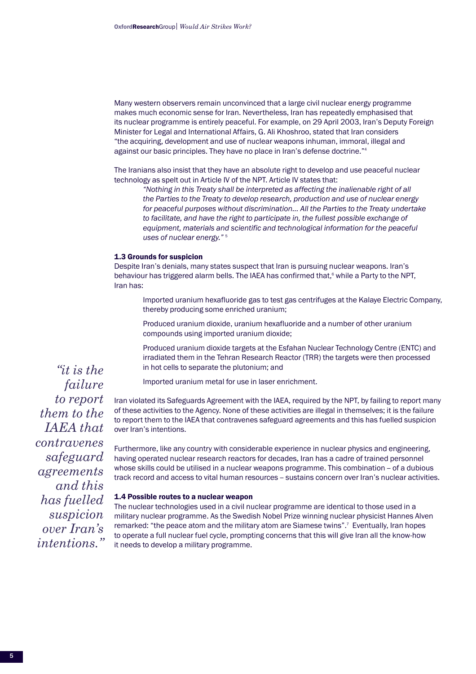Many western observers remain unconvinced that a large civil nuclear energy programme makes much economic sense for Iran. Nevertheless, Iran has repeatedly emphasised that its nuclear programme is entirely peaceful. For example, on 29 April 2003, Iran's Deputy Foreign Minister for Legal and International Affairs, G. Ali Khoshroo, stated that Iran considers "the acquiring, development and use of nuclear weapons inhuman, immoral, illegal and against our basic principles. They have no place in Iran's defense doctrine."4

The Iranians also insist that they have an absolute right to develop and use peaceful nuclear technology as spelt out in Article IV of the NPT. Article IV states that:

*"Nothing in this Treaty shall be interpreted as affecting the inalienable right of all the Parties to the Treaty to develop research, production and use of nuclear energy for peaceful purposes without discrimination… All the Parties to the Treaty undertake to facilitate, and have the right to participate in, the fullest possible exchange of equipment, materials and scientific and technological information for the peaceful uses of nuclear energy."* <sup>5</sup>

#### 1.3 Grounds for suspicion

Despite Iran's denials, many states suspect that Iran is pursuing nuclear weapons. Iran's behaviour has triggered alarm bells. The IAEA has confirmed that,<sup>6</sup> while a Party to the NPT, Iran has:

Imported uranium hexafluoride gas to test gas centrifuges at the Kalaye Electric Company, thereby producing some enriched uranium;

Produced uranium dioxide, uranium hexafluoride and a number of other uranium compounds using imported uranium dioxide;

Produced uranium dioxide targets at the Esfahan Nuclear Technology Centre (ENTC) and irradiated them in the Tehran Research Reactor (TRR) the targets were then processed in hot cells to separate the plutonium; and

Imported uranium metal for use in laser enrichment.

Iran violated its Safeguards Agreement with the IAEA, required by the NPT, by failing to report many of these activities to the Agency. None of these activities are illegal in themselves; it is the failure to report them to the IAEA that contravenes safeguard agreements and this has fuelled suspicion over Iran's intentions.

Furthermore, like any country with considerable experience in nuclear physics and engineering, having operated nuclear research reactors for decades, Iran has a cadre of trained personnel whose skills could be utilised in a nuclear weapons programme. This combination - of a dubious track record and access to vital human resources - sustains concern over Iran's nuclear activities.

#### 1.4 Possible routes to a nuclear weapon

The nuclear technologies used in a civil nuclear programme are identical to those used in a military nuclear programme. As the Swedish Nobel Prize winning nuclear physicist Hannes Alven remarked: "the peace atom and the military atom are Siamese twins".7 Eventually, Iran hopes to operate a full nuclear fuel cycle, prompting concerns that this will give Iran all the know-how it needs to develop a military programme.

*"it is the failure to report them to the IAEA that contravenes safeguard agreements and this has fuelled suspicion over Iran's intentions."*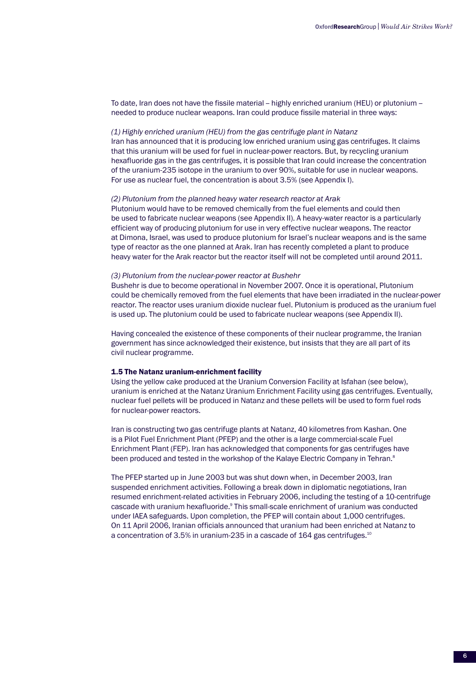To date, Iran does not have the fissile material - highly enriched uranium (HEU) or plutonium needed to produce nuclear weapons. Iran could produce fissile material in three ways:

#### *(1) Highly enriched uranium (HEU) from the gas centrifuge plant in Natanz*

Iran has announced that it is producing low enriched uranium using gas centrifuges. It claims that this uranium will be used for fuel in nuclear-power reactors. But, by recycling uranium hexafluoride gas in the gas centrifuges, it is possible that Iran could increase the concentration of the uranium-235 isotope in the uranium to over 90%, suitable for use in nuclear weapons. For use as nuclear fuel, the concentration is about 3.5% (see Appendix I).

#### *(2) Plutonium from the planned heavy water research reactor at Arak*

Plutonium would have to be removed chemically from the fuel elements and could then be used to fabricate nuclear weapons (see Appendix II). A heavy-water reactor is a particularly efficient way of producing plutonium for use in very effective nuclear weapons. The reactor at Dimona, Israel, was used to produce plutonium for Israel's nuclear weapons and is the same type of reactor as the one planned at Arak. Iran has recently completed a plant to produce heavy water for the Arak reactor but the reactor itself will not be completed until around 2011.

#### *(3) Plutonium from the nuclear-power reactor at Bushehr*

Bushehr is due to become operational in November 2007. Once it is operational, Plutonium could be chemically removed from the fuel elements that have been irradiated in the nuclear-power reactor. The reactor uses uranium dioxide nuclear fuel. Plutonium is produced as the uranium fuel is used up. The plutonium could be used to fabricate nuclear weapons (see Appendix II).

Having concealed the existence of these components of their nuclear programme, the Iranian government has since acknowledged their existence, but insists that they are all part of its civil nuclear programme.

#### 1.5 The Natanz uranium-enrichment facility

Using the yellow cake produced at the Uranium Conversion Facility at Isfahan (see below), uranium is enriched at the Natanz Uranium Enrichment Facility using gas centrifuges. Eventually, nuclear fuel pellets will be produced in Natanz and these pellets will be used to form fuel rods for nuclear-power reactors.

Iran is constructing two gas centrifuge plants at Natanz, 40 kilometres from Kashan. One is a Pilot Fuel Enrichment Plant (PFEP) and the other is a large commercial-scale Fuel Enrichment Plant (FEP). Iran has acknowledged that components for gas centrifuges have been produced and tested in the workshop of the Kalaye Electric Company in Tehran.<sup>8</sup>

The PFEP started up in June 2003 but was shut down when, in December 2003, Iran suspended enrichment activities. Following a break down in diplomatic negotiations, Iran resumed enrichment-related activities in February 2006, including the testing of a 10-centrifuge cascade with uranium hexafluoride.9 This small-scale enrichment of uranium was conducted under IAEA safeguards. Upon completion, the PFEP will contain about 1,000 centrifuges. On 11 April 2006, Iranian officials announced that uranium had been enriched at Natanz to a concentration of 3.5% in uranium-235 in a cascade of 164 gas centrifuges.<sup>10</sup>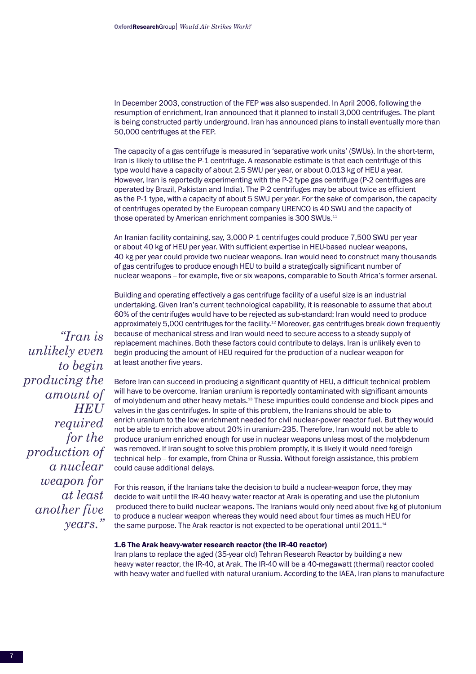In December 2003, construction of the FEP was also suspended. In April 2006, following the resumption of enrichment, Iran announced that it planned to install 3,000 centrifuges. The plant is being constructed partly underground. Iran has announced plans to install eventually more than 50,000 centrifuges at the FEP.

The capacity of a gas centrifuge is measured in 'separative work units' (SWUs). In the short-term, Iran is likely to utilise the P-1 centrifuge. A reasonable estimate is that each centrifuge of this type would have a capacity of about 2.5 SWU per year, or about 0.013 kg of HEU a year. However, Iran is reportedly experimenting with the P-2 type gas centrifuge (P-2 centrifuges are operated by Brazil, Pakistan and India). The P-2 centrifuges may be about twice as efficient as the P-1 type, with a capacity of about 5 SWU per year. For the sake of comparison, the capacity of centrifuges operated by the European company URENCO is 40 SWU and the capacity of those operated by American enrichment companies is 300 SWUs.<sup>11</sup>

An Iranian facility containing, say, 3,000 P-1 centrifuges could produce 7,500 SWU per year or about 40 kg of HEU per year. With sufficient expertise in HEU-based nuclear weapons, 40 kg per year could provide two nuclear weapons. Iran would need to construct many thousands of gas centrifuges to produce enough HEU to build a strategically significant number of nuclear weapons - for example, five or six weapons, comparable to South Africa's former arsenal.

Building and operating effectively a gas centrifuge facility of a useful size is an industrial undertaking. Given Iran's current technological capability, it is reasonable to assume that about 60% of the centrifuges would have to be rejected as sub-standard; Iran would need to produce approximately 5,000 centrifuges for the facility.<sup>12</sup> Moreover, gas centrifuges break down frequently because of mechanical stress and Iran would need to secure access to a steady supply of replacement machines. Both these factors could contribute to delays. Iran is unlikely even to begin producing the amount of HEU required for the production of a nuclear weapon for at least another five years.

Before Iran can succeed in producing a significant quantity of HEU, a difficult technical problem will have to be overcome. Iranian uranium is reportedly contaminated with significant amounts of molybdenum and other heavy metals.<sup>13</sup> These impurities could condense and block pipes and valves in the gas centrifuges. In spite of this problem, the Iranians should be able to enrich uranium to the low enrichment needed for civil nuclear-power reactor fuel. But they would not be able to enrich above about 20% in uranium-235. Therefore, Iran would not be able to produce uranium enriched enough for use in nuclear weapons unless most of the molybdenum was removed. If Iran sought to solve this problem promptly, it is likely it would need foreign technical help - for example, from China or Russia. Without foreign assistance, this problem could cause additional delays.

For this reason, if the Iranians take the decision to build a nuclear-weapon force, they may decide to wait until the IR-40 heavy water reactor at Arak is operating and use the plutonium produced there to build nuclear weapons. The Iranians would only need about five kg of plutonium to produce a nuclear weapon whereas they would need about four times as much HEU for the same purpose. The Arak reactor is not expected to be operational until 2011.<sup>14</sup>

#### 1.6 The Arak heavy-water research reactor (the IR-40 reactor)

Iran plans to replace the aged (35-year old) Tehran Research Reactor by building a new heavy water reactor, the IR-40, at Arak. The IR-40 will be a 40-megawatt (thermal) reactor cooled with heavy water and fuelled with natural uranium. According to the IAEA, Iran plans to manufacture

*"Iran is unlikely even to begin producing the amount of HEU required for the production of a nuclear weapon for at least another five years."*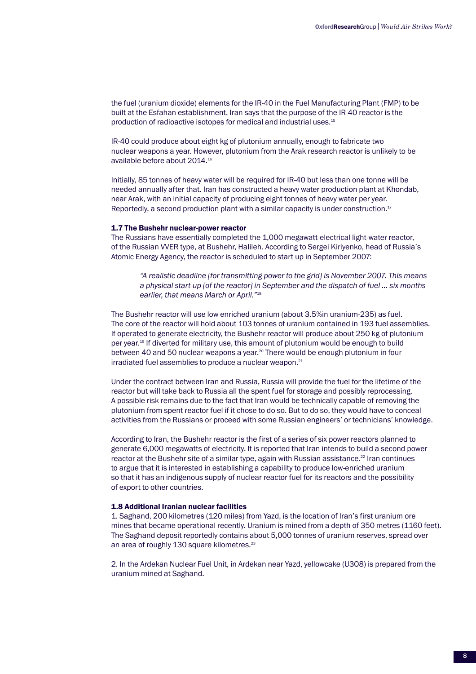the fuel (uranium dioxide) elements for the IR-40 in the Fuel Manufacturing Plant (FMP) to be built at the Esfahan establishment. Iran says that the purpose of the IR-40 reactor is the production of radioactive isotopes for medical and industrial uses.15

IR-40 could produce about eight kg of plutonium annually, enough to fabricate two nuclear weapons a year. However, plutonium from the Arak research reactor is unlikely to be available before about 2014.16

Initially, 85 tonnes of heavy water will be required for IR-40 but less than one tonne will be needed annually after that. Iran has constructed a heavy water production plant at Khondab, near Arak, with an initial capacity of producing eight tonnes of heavy water per year. Reportedly, a second production plant with a similar capacity is under construction.<sup>17</sup>

#### 1.7 The Bushehr nuclear-power reactor

The Russians have essentially completed the 1,000 megawatt-electrical light-water reactor, of the Russian VVER type, at Bushehr, Halileh. According to Sergei Kiriyenko, head of Russia's Atomic Energy Agency, the reactor is scheduled to start up in September 2007:

*"A realistic deadline [for transmitting power to the grid] is November 2007. This means a physical start-up [of the reactor] in September and the dispatch of fuel ... six months earlier, that means March or April."*<sup>18</sup>

The Bushehr reactor will use low enriched uranium (about 3.5%in uranium-235) as fuel. The core of the reactor will hold about 103 tonnes of uranium contained in 193 fuel assemblies. If operated to generate electricity, the Bushehr reactor will produce about 250 kg of plutonium per year.19 If diverted for military use, this amount of plutonium would be enough to build between 40 and 50 nuclear weapons a year.20 There would be enough plutonium in four irradiated fuel assemblies to produce a nuclear weapon.<sup>21</sup>

Under the contract between Iran and Russia, Russia will provide the fuel for the lifetime of the reactor but will take back to Russia all the spent fuel for storage and possibly reprocessing. A possible risk remains due to the fact that Iran would be technically capable of removing the plutonium from spent reactor fuel if it chose to do so. But to do so, they would have to conceal activities from the Russians or proceed with some Russian engineers' or technicians' knowledge.

According to Iran, the Bushehr reactor is the first of a series of six power reactors planned to generate 6,000 megawatts of electricity. It is reported that Iran intends to build a second power reactor at the Bushehr site of a similar type, again with Russian assistance.<sup>22</sup> Iran continues to argue that it is interested in establishing a capability to produce low-enriched uranium so that it has an indigenous supply of nuclear reactor fuel for its reactors and the possibility of export to other countries.

#### 1.8 Additional Iranian nuclear facilities

1. Saghand, 200 kilometres (120 miles) from Yazd, is the location of Iran's first uranium ore mines that became operational recently. Uranium is mined from a depth of 350 metres (1160 feet). The Saghand deposit reportedly contains about 5,000 tonnes of uranium reserves, spread over an area of roughly 130 square kilometres.<sup>23</sup>

2. In the Ardekan Nuclear Fuel Unit, in Ardekan near Yazd, yellowcake (U3O8) is prepared from the uranium mined at Saghand.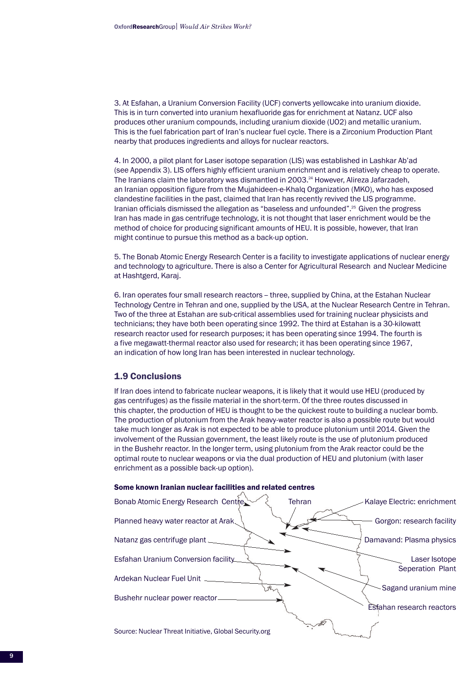3. At Esfahan, a Uranium Conversion Facility (UCF) converts yellowcake into uranium dioxide. This is in turn converted into uranium hexafluoride gas for enrichment at Natanz. UCF also produces other uranium compounds, including uranium dioxide (UO2) and metallic uranium. This is the fuel fabrication part of Iran's nuclear fuel cycle. There is a Zirconium Production Plant nearby that produces ingredients and alloys for nuclear reactors.

4. In 2000, a pilot plant for Laser isotope separation (LIS) was established in Lashkar Ab'ad (see Appendix 3). LIS offers highly efficient uranium enrichment and is relatively cheap to operate. The Iranians claim the laboratory was dismantled in 2003.<sup>24</sup> However, Alireza Jafarzadeh, an Iranian opposition figure from the Mujahideen-e-Khalq Organization (MKO), who has exposed clandestine facilities in the past, claimed that Iran has recently revived the LIS programme. Iranian officials dismissed the allegation as "baseless and unfounded".25 Given the progress Iran has made in gas centrifuge technology, it is not thought that laser enrichment would be the method of choice for producing significant amounts of HEU. It is possible, however, that Iran might continue to pursue this method as a back-up option.

5. The Bonab Atomic Energy Research Center is a facility to investigate applications of nuclear energy and technology to agriculture. There is also a Center for Agricultural Research and Nuclear Medicine at Hashtgerd, Karaj.

6. Iran operates four small research reactors - three, supplied by China, at the Estahan Nuclear Technology Centre in Tehran and one, supplied by the USA, at the Nuclear Research Centre in Tehran. Two of the three at Estahan are sub-critical assemblies used for training nuclear physicists and technicians; they have both been operating since 1992. The third at Estahan is a 30-kilowatt research reactor used for research purposes; it has been operating since 1994. The fourth is a five megawatt-thermal reactor also used for research; it has been operating since 1967, an indication of how long Iran has been interested in nuclear technology.

### 1.9 Conclusions

If Iran does intend to fabricate nuclear weapons, it is likely that it would use HEU (produced by gas centrifuges) as the fissile material in the short-term. Of the three routes discussed in this chapter, the production of HEU is thought to be the quickest route to building a nuclear bomb. The production of plutonium from the Arak heavy-water reactor is also a possible route but would take much longer as Arak is not expected to be able to produce plutonium until 2014. Given the involvement of the Russian government, the least likely route is the use of plutonium produced in the Bushehr reactor. In the longer term, using plutonium from the Arak reactor could be the optimal route to nuclear weapons or via the dual production of HEU and plutonium (with laser enrichment as a possible back-up option).

#### Some known Iranian nuclear facilities and related centres

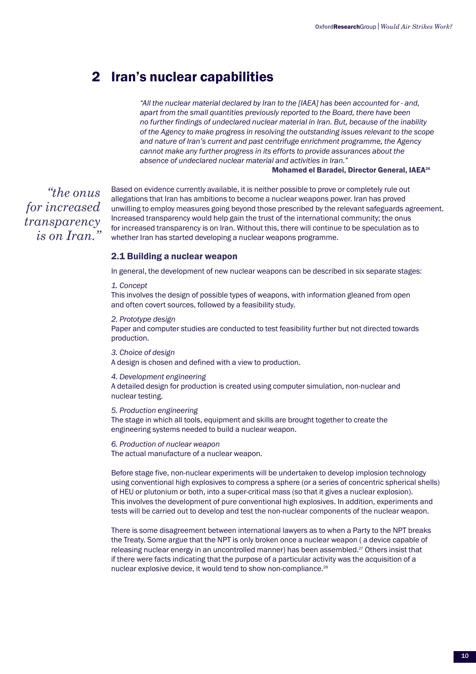# 2 Iran's nuclear capabilities

*"All the nuclear material declared by Iran to the [IAEA] has been accounted for - and, apart from the small quantities previously reported to the Board, there have been no further findings of undeclared nuclear material in Iran. But, because of the inability of the Agency to make progress in resolving the outstanding issues relevant to the scope and nature of Iran's current and past centrifuge enrichment programme, the Agency cannot make any further progress in its efforts to provide assurances about the absence of undeclared nuclear material and activities in Iran."*

#### Mohamed el Baradei, Director General, IAEA26

*"the onus for increased transparency is on Iran."* Based on evidence currently available, it is neither possible to prove or completely rule out allegations that Iran has ambitions to become a nuclear weapons power. Iran has proved unwilling to employ measures going beyond those prescribed by the relevant safeguards agreement. Increased transparency would help gain the trust of the international community; the onus for increased transparency is on Iran. Without this, there will continue to be speculation as to whether Iran has started developing a nuclear weapons programme.

### 2.1 Building a nuclear weapon

In general, the development of new nuclear weapons can be described in six separate stages:

#### *1. Concept*

This involves the design of possible types of weapons, with information gleaned from open and often covert sources, followed by a feasibility study.

#### *2. Prototype design*

Paper and computer studies are conducted to test feasibility further but not directed towards production.

*3. Choice of design* A design is chosen and defined with a view to production.

#### *4. Development engineering*

A detailed design for production is created using computer simulation, non-nuclear and nuclear testing.

#### *5. Production engineering*

The stage in which all tools, equipment and skills are brought together to create the engineering systems needed to build a nuclear weapon.

*6. Production of nuclear weapon* The actual manufacture of a nuclear weapon.

Before stage five, non-nuclear experiments will be undertaken to develop implosion technology using conventional high explosives to compress a sphere (or a series of concentric spherical shells) of HEU or plutonium or both, into a super-critical mass (so that it gives a nuclear explosion). This involves the development of pure conventional high explosives. In addition, experiments and tests will be carried out to develop and test the non-nuclear components of the nuclear weapon.

There is some disagreement between international lawyers as to when a Party to the NPT breaks the Treaty. Some argue that the NPT is only broken once a nuclear weapon ( a device capable of releasing nuclear energy in an uncontrolled manner) has been assembled.<sup>27</sup> Others insist that if there were facts indicating that the purpose of a particular activity was the acquisition of a nuclear explosive device, it would tend to show non-compliance.<sup>28</sup>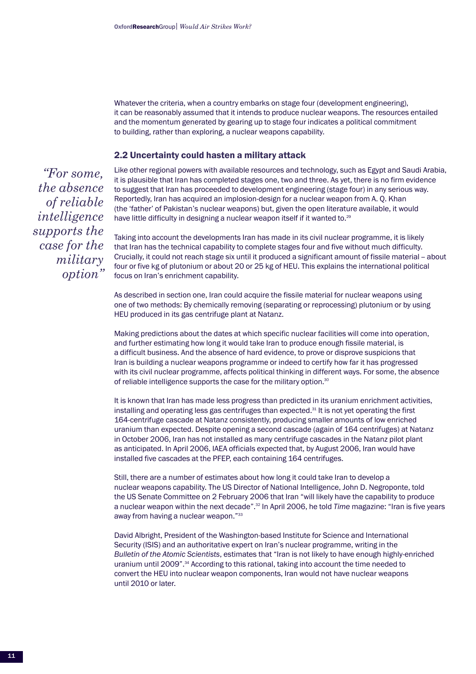Whatever the criteria, when a country embarks on stage four (development engineering), it can be reasonably assumed that it intends to produce nuclear weapons. The resources entailed and the momentum generated by gearing up to stage four indicates a political commitment to building, rather than exploring, a nuclear weapons capability.

# 2.2 Uncertainty could hasten a military attack

*"For some, the absence of reliable intelligence supports the case for the military option"* Like other regional powers with available resources and technology, such as Egypt and Saudi Arabia, it is plausible that Iran has completed stages one, two and three. As yet, there is no firm evidence to suggest that Iran has proceeded to development engineering (stage four) in any serious way. Reportedly, Iran has acquired an implosion-design for a nuclear weapon from A. Q. Khan (the 'father' of Pakistan's nuclear weapons) but, given the open literature available, it would have little difficulty in designing a nuclear weapon itself if it wanted to.<sup>29</sup>

Taking into account the developments Iran has made in its civil nuclear programme, it is likely that Iran has the technical capability to complete stages four and five without much difficulty. Crucially, it could not reach stage six until it produced a significant amount of fissile material - about four or five kg of plutonium or about 20 or 25 kg of HEU. This explains the international political focus on Iran's enrichment capability.

As described in section one, Iran could acquire the fissile material for nuclear weapons using one of two methods: By chemically removing (separating or reprocessing) plutonium or by using HEU produced in its gas centrifuge plant at Natanz.

Making predictions about the dates at which specific nuclear facilities will come into operation, and further estimating how long it would take Iran to produce enough fissile material, is a difficult business. And the absence of hard evidence, to prove or disprove suspicions that Iran is building a nuclear weapons programme or indeed to certify how far it has progressed with its civil nuclear programme, affects political thinking in different ways. For some, the absence of reliable intelligence supports the case for the military option.30

It is known that Iran has made less progress than predicted in its uranium enrichment activities, installing and operating less gas centrifuges than expected.<sup>31</sup> It is not yet operating the first 164-centrifuge cascade at Natanz consistently, producing smaller amounts of low enriched uranium than expected. Despite opening a second cascade (again of 164 centrifuges) at Natanz in October 2006, Iran has not installed as many centrifuge cascades in the Natanz pilot plant as anticipated. In April 2006, IAEA officials expected that, by August 2006, Iran would have installed five cascades at the PFEP, each containing 164 centrifuges.

Still, there are a number of estimates about how long it could take Iran to develop a nuclear weapons capability. The US Director of National Intelligence, John D. Negroponte, told the US Senate Committee on 2 February 2006 that Iran "will likely have the capability to produce a nuclear weapon within the next decade".32 In April 2006, he told *Time* magazine: "Iran is five years away from having a nuclear weapon."33

David Albright, President of the Washington-based Institute for Science and International Security (ISIS) and an authoritative expert on Iran's nuclear programme, writing in the *Bulletin of the Atomic Scientists*, estimates that "Iran is not likely to have enough highly-enriched uranium until 2009".34 According to this rational, taking into account the time needed to convert the HEU into nuclear weapon components, Iran would not have nuclear weapons until 2010 or later.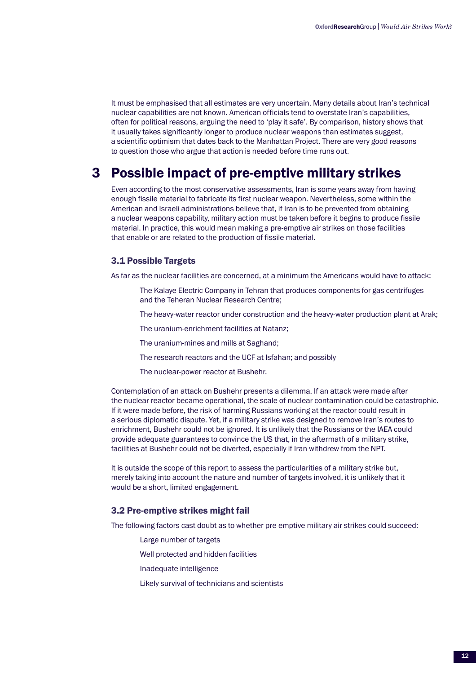It must be emphasised that all estimates are very uncertain. Many details about Iran's technical nuclear capabilities are not known. American officials tend to overstate Iran's capabilities, often for political reasons, arguing the need to 'play it safe'. By comparison, history shows that it usually takes significantly longer to produce nuclear weapons than estimates suggest, a scientific optimism that dates back to the Manhattan Project. There are very good reasons to question those who argue that action is needed before time runs out.

# Possible impact of pre-emptive military strikes 3

Even according to the most conservative assessments, Iran is some years away from having enough fissile material to fabricate its first nuclear weapon. Nevertheless, some within the American and Israeli administrations believe that, if Iran is to be prevented from obtaining a nuclear weapons capability, military action must be taken before it begins to produce fissile material. In practice, this would mean making a pre-emptive air strikes on those facilities that enable or are related to the production of fissile material.

### 3.1 Possible Targets

As far as the nuclear facilities are concerned, at a minimum the Americans would have to attack:

- The Kalaye Electric Company in Tehran that produces components for gas centrifuges and the Teheran Nuclear Research Centre;
- The heavy-water reactor under construction and the heavy-water production plant at Arak;
- The uranium-enrichment facilities at Natanz;
- The uranium-mines and mills at Saghand;
- The research reactors and the UCF at Isfahan; and possibly
- The nuclear-power reactor at Bushehr.

Contemplation of an attack on Bushehr presents a dilemma. If an attack were made after the nuclear reactor became operational, the scale of nuclear contamination could be catastrophic. If it were made before, the risk of harming Russians working at the reactor could result in a serious diplomatic dispute. Yet, if a military strike was designed to remove Iran's routes to enrichment, Bushehr could not be ignored. It is unlikely that the Russians or the IAEA could provide adequate guarantees to convince the US that, in the aftermath of a military strike, facilities at Bushehr could not be diverted, especially if Iran withdrew from the NPT.

It is outside the scope of this report to assess the particularities of a military strike but, merely taking into account the nature and number of targets involved, it is unlikely that it would be a short, limited engagement.

### 3.2 Pre-emptive strikes might fail

The following factors cast doubt as to whether pre-emptive military air strikes could succeed:

- Large number of targets
- Well protected and hidden facilities
- Inadequate intelligence
- Likely survival of technicians and scientists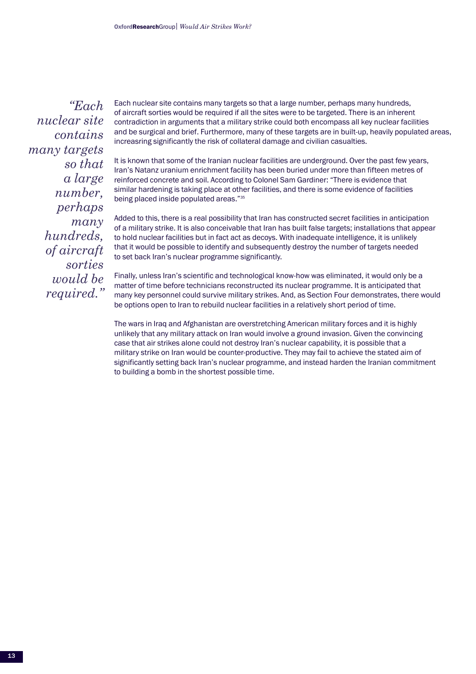*"Each nuclear site contains many targets so that a large number, perhaps many hundreds, of aircraft sorties would be required."*

Each nuclear site contains many targets so that a large number, perhaps many hundreds, of aircraft sorties would be required if all the sites were to be targeted. There is an inherent contradiction in arguments that a military strike could both encompass all key nuclear facilities and be surgical and brief. Furthermore, many of these targets are in built-up, heavily populated areas, increasring significantly the risk of collateral damage and civilian casualties.

It is known that some of the Iranian nuclear facilities are underground. Over the past few years, Iran's Natanz uranium enrichment facility has been buried under more than fifteen metres of reinforced concrete and soil. According to Colonel Sam Gardiner: "There is evidence that similar hardening is taking place at other facilities, and there is some evidence of facilities being placed inside populated areas."35

Added to this, there is a real possibility that Iran has constructed secret facilities in anticipation of a military strike. It is also conceivable that Iran has built false targets; installations that appear to hold nuclear facilities but in fact act as decoys. With inadequate intelligence, it is unlikely that it would be possible to identify and subsequently destroy the number of targets needed to set back Iran's nuclear programme significantly.

Finally, unless Iran's scientific and technological know-how was eliminated, it would only be a matter of time before technicians reconstructed its nuclear programme. It is anticipated that many key personnel could survive military strikes. And, as Section Four demonstrates, there would be options open to Iran to rebuild nuclear facilities in a relatively short period of time.

The wars in Iraq and Afghanistan are overstretching American military forces and it is highly unlikely that any military attack on Iran would involve a ground invasion. Given the convincing case that air strikes alone could not destroy Iran's nuclear capability, it is possible that a military strike on Iran would be counter-productive. They may fail to achieve the stated aim of significantly setting back Iran's nuclear programme, and instead harden the Iranian commitment to building a bomb in the shortest possible time.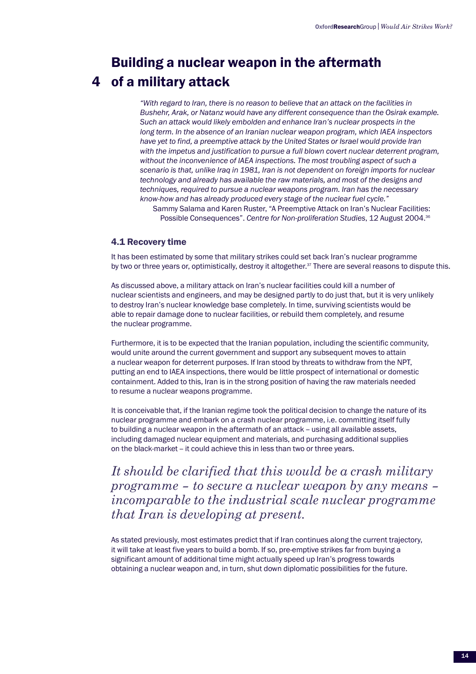# Building a nuclear weapon in the aftermath

#### 4 of a military attack

*"With regard to Iran, there is no reason to believe that an attack on the facilities in Bushehr, Arak, or Natanz would have any different consequence than the Osirak example. Such an attack would likely embolden and enhance Iran's nuclear prospects in the long term. In the absence of an Iranian nuclear weapon program, which IAEA inspectors have yet to find, a preemptive attack by the United States or Israel would provide Iran with the impetus and justification to pursue a full blown covert nuclear deterrent program, without the inconvenience of IAEA inspections. The most troubling aspect of such a scenario is that, unlike Iraq in 1981, Iran is not dependent on foreign imports for nuclear technology and already has available the raw materials, and most of the designs and techniques, required to pursue a nuclear weapons program. Iran has the necessary know-how and has already produced every stage of the nuclear fuel cycle."*

Sammy Salama and Karen Ruster, "A Preemptive Attack on Iran's Nuclear Facilities: Possible Consequences". *Centre for Non-proliferation Studies*, 12 August 2004.36

# 4.1 Recovery time

It has been estimated by some that military strikes could set back Iran's nuclear programme by two or three years or, optimistically, destroy it altogether.<sup>37</sup> There are several reasons to dispute this.

As discussed above, a military attack on Iran's nuclear facilities could kill a number of nuclear scientists and engineers, and may be designed partly to do just that, but it is very unlikely to destroy Iran's nuclear knowledge base completely. In time, surviving scientists would be able to repair damage done to nuclear facilities, or rebuild them completely, and resume the nuclear programme.

Furthermore, it is to be expected that the Iranian population, including the scientific community, would unite around the current government and support any subsequent moves to attain a nuclear weapon for deterrent purposes. If Iran stood by threats to withdraw from the NPT, putting an end to IAEA inspections, there would be little prospect of international or domestic containment. Added to this, Iran is in the strong position of having the raw materials needed to resume a nuclear weapons programme.

It is conceivable that, if the Iranian regime took the political decision to change the nature of its nuclear programme and embark on a crash nuclear programme, i.e. committing itself fully to building a nuclear weapon in the aftermath of an attack – using all available assets, including damaged nuclear equipment and materials, and purchasing additional supplies on the black-market -it could achieve this in less than two or three years.

*It should be clarified that this would be a crash military programme -to secure a nuclear weapon by any means incomparable to the industrial scale nuclear programme that Iran is developing at present.*

As stated previously, most estimates predict that if Iran continues along the current trajectory, it will take at least five years to build a bomb. If so, pre-emptive strikes far from buying a significant amount of additional time might actually speed up Iran's progress towards obtaining a nuclear weapon and, in turn, shut down diplomatic possibilities for the future.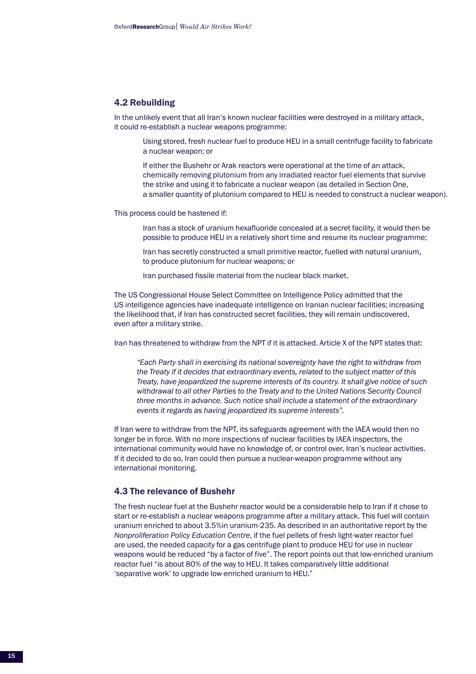# 4.2 Rebuilding

In the unlikely event that all Iran's known nuclear facilities were destroyed in a military attack, it could re-establish a nuclear weapons programme:

- Using stored, fresh nuclear fuel to produce HEU in a small centrifuge facility to fabricate a nuclear weapon; or
- If either the Bushehr or Arak reactors were operational at the time of an attack, chemically removing plutonium from any irradiated reactor fuel elements that survive the strike and using it to fabricate a nuclear weapon (as detailed in Section One, a smaller quantity of plutonium compared to HEU is needed to construct a nuclear weapon).

This process could be hastened if:

- Iran has a stock of uranium hexafluoride concealed at a secret facility, it would then be possible to produce HEU in a relatively short time and resume its nuclear programme;
- Iran has secretly constructed a small primitive reactor, fuelled with natural uranium, to produce plutonium for nuclear weapons; or
- Iran purchased fissile material from the nuclear black market.

The US Congressional House Select Committee on Intelligence Policy admitted that the US intelligence agencies have inadequate intelligence on Iranian nuclear facilities; increasing the likelihood that, if Iran has constructed secret facilities, they will remain undiscovered, even after a military strike.

Iran has threatened to withdraw from the NPT if it is attacked. Article X of the NPT states that:

*"Each Party shall in exercising its national sovereignty have the right to withdraw from the Treaty if it decides that extraordinary events, related to the subject matter of this Treaty, have jeopardized the supreme interests of its country. It shall give notice of such withdrawal to all other Parties to the Treaty and to the United Nations Security Council three months in advance. Such notice shall include a statement of the extraordinary events it regards as having jeopardized its supreme interests".*

If Iran were to withdraw from the NPT, its safeguards agreement with the IAEA would then no longer be in force. With no more inspections of nuclear facilities by IAEA inspectors, the international community would have no knowledge of, or control over, Iran's nuclear activities. If it decided to do so, Iran could then pursue a nuclear-weapon programme without any international monitoring.

# 4.3 The relevance of Bushehr

The fresh nuclear fuel at the Bushehr reactor would be a considerable help to Iran if it chose to start or re-establish a nuclear weapons programme after a military attack. This fuel will contain uranium enriched to about 3.5%in uranium-235. As described in an authoritative report by the *Nonproliferation Policy Education Centre*, if the fuel pellets of fresh light-water reactor fuel are used, the needed capacity for a gas centrifuge plant to produce HEU for use in nuclear weapons would be reduced "by a factor of five". The report points out that low-enriched uranium reactor fuel "is about 80% of the way to HEU. It takes comparatively little additional 'separative work' to upgrade low-enriched uranium to HEU."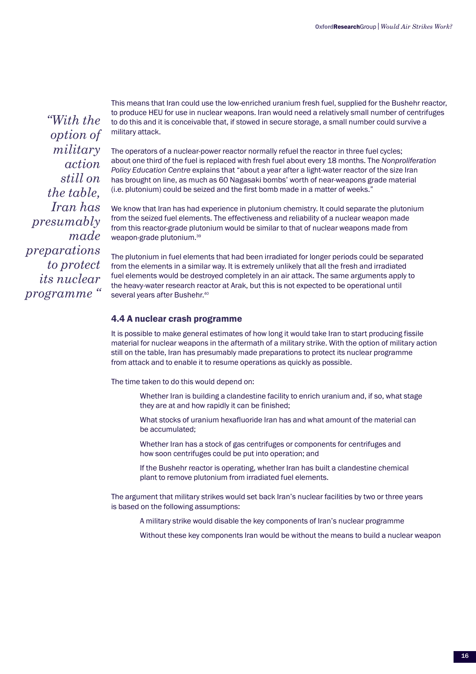*"With the option of military action still on the table, Iran has presumably made preparations to protect its nuclear programme "* This means that Iran could use the low-enriched uranium fresh fuel, supplied for the Bushehr reactor, to produce HEU for use in nuclear weapons. Iran would need a relatively small number of centrifuges to do this and it is conceivable that, if stowed in secure storage, a small number could survive a military attack.

The operators of a nuclear-power reactor normally refuel the reactor in three fuel cycles; about one third of the fuel is replaced with fresh fuel about every 18 months. The *Nonproliferation Policy Education Centre* explains that "about a year after a light-water reactor of the size Iran has brought on line, as much as 60 Nagasaki bombs' worth of near-weapons grade material (i.e. plutonium) could be seized and the first bomb made in a matter of weeks."

We know that Iran has had experience in plutonium chemistry. It could separate the plutonium from the seized fuel elements. The effectiveness and reliability of a nuclear weapon made from this reactor-grade plutonium would be similar to that of nuclear weapons made from weapon-grade plutonium.39

The plutonium in fuel elements that had been irradiated for longer periods could be separated from the elements in a similar way. It is extremely unlikely that all the fresh and irradiated fuel elements would be destroyed completely in an air attack. The same arguments apply to the heavy-water research reactor at Arak, but this is not expected to be operational until several years after Bushehr.<sup>40</sup>

# 4.4 A nuclear crash programme

It is possible to make general estimates of how long it would take Iran to start producing fissile material for nuclear weapons in the aftermath of a military strike. With the option of military action still on the table, Iran has presumably made preparations to protect its nuclear programme from attack and to enable it to resume operations as quickly as possible.

The time taken to do this would depend on:

- Whether Iran is building a clandestine facility to enrich uranium and, if so, what stage they are at and how rapidly it can be finished;
- What stocks of uranium hexafluoride Iran has and what amount of the material can be accumulated;
- Whether Iran has a stock of gas centrifuges or components for centrifuges and how soon centrifuges could be put into operation; and
- If the Bushehr reactor is operating, whether Iran has built a clandestine chemical plant to remove plutonium from irradiated fuel elements.

The argument that military strikes would set back Iran's nuclear facilities by two or three years is based on the following assumptions:

- A military strike would disable the key components of Iran's nuclear programme
- Without these key components Iran would be without the means to build a nuclear weapon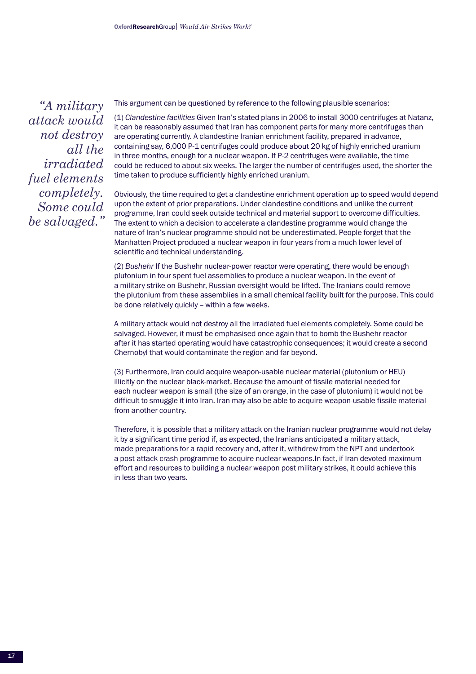*"A military attack would not destroy all the irradiated fuel elements completely. Some could be salvaged."*

This argument can be questioned by reference to the following plausible scenarios:

(1) *Clandestine facilities* Given Iran's stated plans in 2006 to install 3000 centrifuges at Natanz, it can be reasonably assumed that Iran has component parts for many more centrifuges than are operating currently. A clandestine Iranian enrichment facility, prepared in advance, containing say, 6,000 P-1 centrifuges could produce about 20 kg of highly enriched uranium in three months, enough for a nuclear weapon. If P-2 centrifuges were available, the time could be reduced to about six weeks. The larger the number of centrifuges used, the shorter the time taken to produce sufficiently highly enriched uranium.

Obviously, the time required to get a clandestine enrichment operation up to speed would depend upon the extent of prior preparations. Under clandestine conditions and unlike the current programme, Iran could seek outside technical and material support to overcome difficulties. The extent to which a decision to accelerate a clandestine programme would change the nature of Iran's nuclear programme should not be underestimated. People forget that the Manhatten Project produced a nuclear weapon in four years from a much lower level of scientific and technical understanding.

(2) *Bushehr* If the Bushehr nuclear-power reactor were operating, there would be enough plutonium in four spent fuel assemblies to produce a nuclear weapon. In the event of a military strike on Bushehr, Russian oversight would be lifted. The Iranians could remove the plutonium from these assemblies in a small chemical facility built for the purpose. This could be done relatively quickly - within a few weeks.

A military attack would not destroy all the irradiated fuel elements completely. Some could be salvaged. However, it must be emphasised once again that to bomb the Bushehr reactor after it has started operating would have catastrophic consequences; it would create a second Chernobyl that would contaminate the region and far beyond.

(3) Furthermore, Iran could acquire weapon-usable nuclear material (plutonium or HEU) illicitly on the nuclear black-market. Because the amount of fissile material needed for each nuclear weapon is small (the size of an orange, in the case of plutonium) it would not be difficult to smuggle it into Iran. Iran may also be able to acquire weapon-usable fissile material from another country.

Therefore, it is possible that a military attack on the Iranian nuclear programme would not delay it by a significant time period if, as expected, the Iranians anticipated a military attack, made preparations for a rapid recovery and, after it, withdrew from the NPT and undertook a post-attack crash programme to acquire nuclear weapons.In fact, if Iran devoted maximum effort and resources to building a nuclear weapon post military strikes, it could achieve this in less than two years.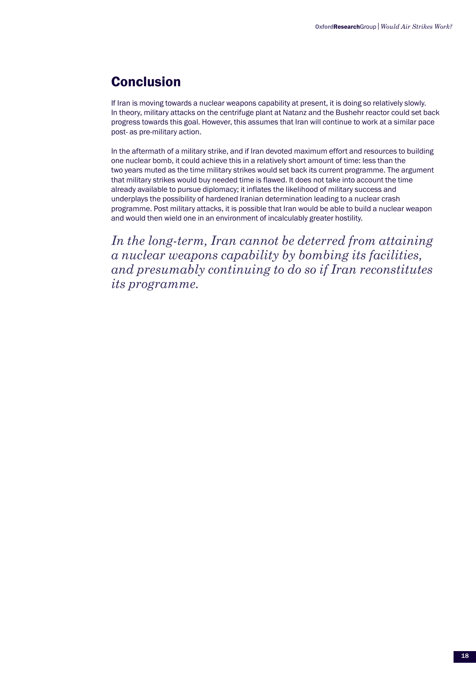# **Conclusion**

If Iran is moving towards a nuclear weapons capability at present, it is doing so relatively slowly. In theory, military attacks on the centrifuge plant at Natanz and the Bushehr reactor could set back progress towards this goal. However, this assumes that Iran will continue to work at a similar pace post- as pre-military action.

In the aftermath of a military strike, and if Iran devoted maximum effort and resources to building one nuclear bomb, it could achieve this in a relatively short amount of time: less than the two years muted as the time military strikes would set back its current programme. The argument that military strikes would buy needed time is flawed. It does not take into account the time already available to pursue diplomacy; it inflates the likelihood of military success and underplays the possibility of hardened Iranian determination leading to a nuclear crash programme. Post military attacks, it is possible that Iran would be able to build a nuclear weapon and would then wield one in an environment of incalculably greater hostility.

*In the long-term, Iran cannot be deterred from attaining a nuclear weapons capability by bombing its facilities, and presumably continuing to do so if Iran reconstitutes its programme.*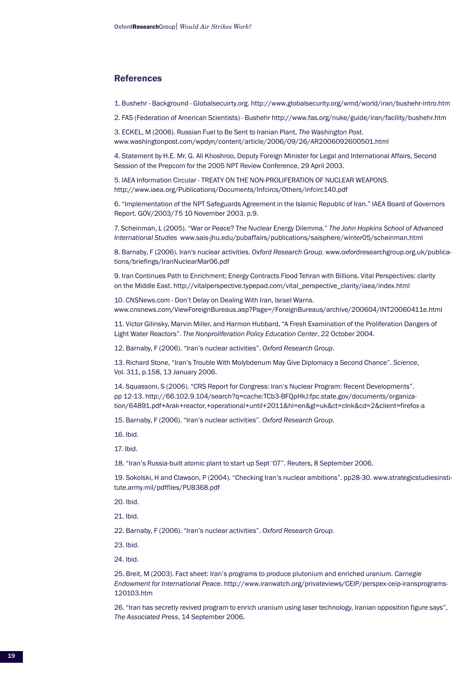### References

1. Bushehr - Background - Globalsecuirty.org. http://www.globalsecurity.org/wmd/world/iran/bushehr-intro.htm

2. FAS (Federation of American Scientists) - Bushehr http://www.fas.org/nuke/guide/iran/facility/bushehr.htm

3. ECKEL, M (2006). Russian Fuel to Be Sent to Iranian Plant, *The Washington Post*. www.washingtonpost.com/wpdyn/content/article/2006/09/26/AR2006092600501.html

4. Statement by H.E. Mr. G. Ali Khoshroo, Deputy Foreign Minister for Legal and International Affairs, Second Session of the Prepcom for the 2005 NPT Review Conference, 29 April 2003.

5. IAEA Information Circular - TREATY ON THE NON-PROLIFERATION OF NUCLEAR WEAPONS. http://www.iaea.org/Publications/Documents/Infcircs/Others/infcirc140.pdf

6. "Implementation of the NPT Safeguards Agreement in the Islamic Republic of Iran." IAEA Board of Governors Report. GOV/2003/75 10 November 2003. p.9.

7. Scheinman, L (2005). "War or Peace? The Nuclear Energy Dilemma." *The John Hopkins School of Advanced International Studies* www.sais-jhu.edu/pubaffairs/publications/saisphere/winter05/scheinman.html

8. Barnaby, F (2006). Iran's nuclear activities. *Oxford Research Group*. www.oxfordresearchgroup.org.uk/publications/briefings/IranNuclearMar06.pdf

9. Iran Continues Path to Enrichment; Energy Contracts Flood Tehran with Billions. Vital Perspectives: clarity on the Middle East. http://vitalperspective.typepad.com/vital\_perspective\_clarity/iaea/index.html

10. CNSNews.com - Don't Delay on Dealing With Iran, Israel Warns. www.cnsnews.com/ViewForeignBureaus.asp?Page=/ForeignBureaus/archive/200604/INT20060411e.html

11. Victor Gilinsky, Marvin Miller, and Harmon Hubbard, "A Fresh Examination of the Proliferation Dangers of Light Water Reactors". *The Nonproliferation Policy Education Center*, 22 October 2004.

12. Barnaby, F (2006). "Iran's nuclear activities". *Oxford Research Group*.

13. Richard Stone, "Iran's Trouble With Molybdenum May Give Diplomacy a Second Chance". *Science*, Vol. 311, p.158, 13 January 2006.

14. Squassoni, S (2006). "CRS Report for Congress: Iran's Nuclear Program: Recent Developments". pp 12-13. http://66.102.9.104/search?q=cache:TCb3-BFQpHkJ:fpc.state.gov/documents/organization/64891.pdf+Arak+reactor,+operational+until+2011&hl=en&gl=uk&ct=clnk&cd=2&client=firefox-a

15. Barnaby, F (2006). "Iran's nuclear activities". *Oxford Research Group*.

16. Ibid.

17. Ibid.

18. "Iran's Russia-built atomic plant to start up Sept '07". Reuters, 8 September 2006.

19. Sokolski, H and Clawson, P (2004). "Checking Iran's nuclear ambitions". pp28-30. www.strategicstudiesinstitute.army.mil/pdffiles/PUB368.pdf

20. Ibid.

21. Ibid.

22. Barnaby, F (2006). "Iran's nuclear activities". *Oxford Research Group.*

23. Ibid.

24. Ibid.

25. Breit, M (2003). Fact sheet: Iran's programs to produce plutonium and enriched uranium. *Carnegie Endowment for International Peace*. http://www.iranwatch.org/privateviews/CEIP/perspex-ceip-iransprograms-120103.htm

26. "Iran has secretly revived program to enrich uranium using laser technology, Iranian opposition figure says", *The Associated Press*, 14 September 2006.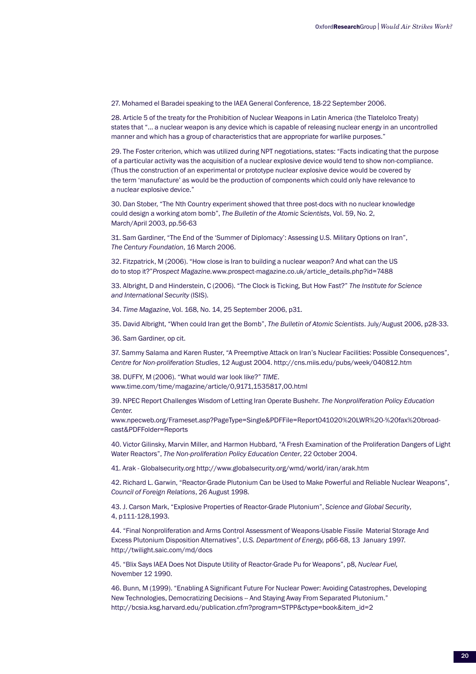27. Mohamed el Baradei speaking to the IAEA General Conference, 18-22 September 2006.

28. Article 5 of the treaty for the Prohibition of Nuclear Weapons in Latin America (the Tlatelolco Treaty) states that "… a nuclear weapon is any device which is capable of releasing nuclear energy in an uncontrolled manner and which has a group of characteristics that are appropriate for warlike purposes."

29. The Foster criterion, which was utilized during NPT negotiations, states: "Facts indicating that the purpose of a particular activity was the acquisition of a nuclear explosive device would tend to show non-compliance. (Thus the construction of an experimental or prototype nuclear explosive device would be covered by the term 'manufacture' as would be the production of components which could only have relevance to a nuclear explosive device."

30. Dan Stober, "The Nth Country experiment showed that three post-docs with no nuclear knowledge could design a working atom bomb", *The Bulletin of the Atomic Scientists*, Vol. 59, No. 2, March/April 2003, pp.56-63

31. Sam Gardiner, "The End of the 'Summer of Diplomacy': Assessing U.S. Military Options on Iran", *The Century Foundation*, 16 March 2006.

32. Fitzpatrick, M (2006). "How close is Iran to building a nuclear weapon? And what can the US do to stop it?"*Prospect Magazine.*www.prospect-magazine.co.uk/article\_details.php?id=7488

33. Albright, D and Hinderstein, C (2006). "The Clock is Ticking, But How Fast?" *The Institute for Science and International Security* (ISIS).

34. *Time Magazine*, Vol. 168, No. 14, 25 September 2006, p31.

35. David Albright, "When could Iran get the Bomb", *The Bulletin of Atomic Scientists*. July/August 2006, p28-33.

36. Sam Gardiner, op cit.

37. Sammy Salama and Karen Ruster, "A Preemptive Attack on Iran's Nuclear Facilities: Possible Consequences", *Centre for Non-proliferation Studies*, 12 August 2004. http://cns.miis.edu/pubs/week/040812.htm

38. DUFFY, M (2006). "What would war look like?" *TIME*. www.time.com/time/magazine/article/0,9171,1535817,00.html

39. NPEC Report Challenges Wisdom of Letting Iran Operate Bushehr. *The Nonproliferation Policy Education Center.*

www.npecweb.org/Frameset.asp?PageType=Single&PDFFile=Report041020%20LWR%20-%20fax%20broadcast&PDFFolder=Reports

40. Victor Gilinsky, Marvin Miller, and Harmon Hubbard, "A Fresh Examination of the Proliferation Dangers of Light Water Reactors", *The Non-proliferation Policy Education Center*, 22 October 2004.

41. Arak - Globalsecurity.org http://www.globalsecurity.org/wmd/world/iran/arak.htm

42. Richard L. Garwin, "Reactor-Grade Plutonium Can be Used to Make Powerful and Reliable Nuclear Weapons", *Council of Foreign Relations*, 26 August 1998.

43. J. Carson Mark, "Explosive Properties of Reactor-Grade Plutonium", *Science and Global Security*, 4, p111-128,1993.

44. "Final Nonproliferation and Arms Control Assessment of Weapons-Usable Fissile Material Storage And Excess Plutonium Disposition Alternatives", *U.S. Department of Energy,* p66-68, 13 January 1997. http://twilight.saic.com/md/docs

45. "Blix Says IAEA Does Not Dispute Utility of Reactor-Grade Pu for Weapons", p8, *Nuclear Fuel,* November 12 1990.

46. Bunn, M (1999). "Enabling A Significant Future For Nuclear Power: Avoiding Catastrophes, Developing New Technologies, Democratizing Decisions -- And Staying Away From Separated Plutonium." http://bcsia.ksg.harvard.edu/publication.cfm?program=STPP&ctype=book&item\_id=2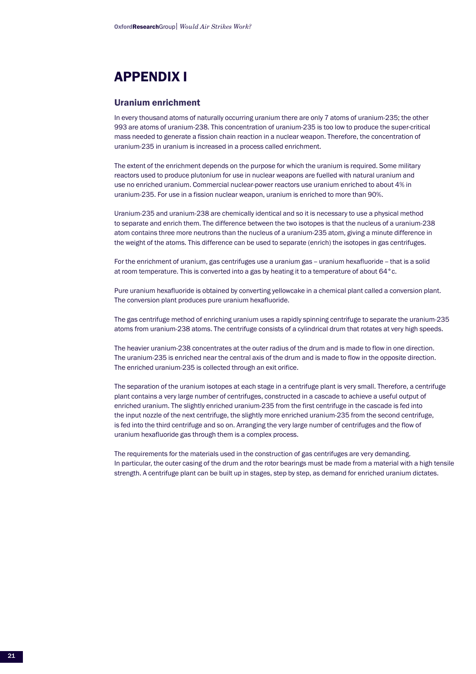# APPENDIX I

### Uranium enrichment

In every thousand atoms of naturally occurring uranium there are only 7 atoms of uranium-235; the other 993 are atoms of uranium-238. This concentration of uranium-235 is too low to produce the super-critical mass needed to generate a fission chain reaction in a nuclear weapon. Therefore, the concentration of uranium-235 in uranium is increased in a process called enrichment.

The extent of the enrichment depends on the purpose for which the uranium is required. Some military reactors used to produce plutonium for use in nuclear weapons are fuelled with natural uranium and use no enriched uranium. Commercial nuclear-power reactors use uranium enriched to about 4% in uranium-235. For use in a fission nuclear weapon, uranium is enriched to more than 90%.

Uranium-235 and uranium-238 are chemically identical and so it is necessary to use a physical method to separate and enrich them. The difference between the two isotopes is that the nucleus of a uranium-238 atom contains three more neutrons than the nucleus of a uranium-235 atom, giving a minute difference in the weight of the atoms. This difference can be used to separate (enrich) the isotopes in gas centrifuges.

For the enrichment of uranium, gas centrifuges use a uranium gas - uranium hexafluoride - that is a solid at room temperature. This is converted into a gas by heating it to a temperature of about 64°c.

Pure uranium hexafluoride is obtained by converting yellowcake in a chemical plant called a conversion plant. The conversion plant produces pure uranium hexafluoride.

The gas centrifuge method of enriching uranium uses a rapidly spinning centrifuge to separate the uranium-235 atoms from uranium-238 atoms. The centrifuge consists of a cylindrical drum that rotates at very high speeds.

The heavier uranium-238 concentrates at the outer radius of the drum and is made to flow in one direction. The uranium-235 is enriched near the central axis of the drum and is made to flow in the opposite direction. The enriched uranium-235 is collected through an exit orifice.

The separation of the uranium isotopes at each stage in a centrifuge plant is very small. Therefore, a centrifuge plant contains a very large number of centrifuges, constructed in a cascade to achieve a useful output of enriched uranium. The slightly enriched uranium-235 from the first centrifuge in the cascade is fed into the input nozzle of the next centrifuge, the slightly more enriched uranium-235 from the second centrifuge, is fed into the third centrifuge and so on. Arranging the very large number of centrifuges and the flow of uranium hexafluoride gas through them is a complex process.

The requirements for the materials used in the construction of gas centrifuges are very demanding. In particular, the outer casing of the drum and the rotor bearings must be made from a material with a high tensile strength. A centrifuge plant can be built up in stages, step by step, as demand for enriched uranium dictates.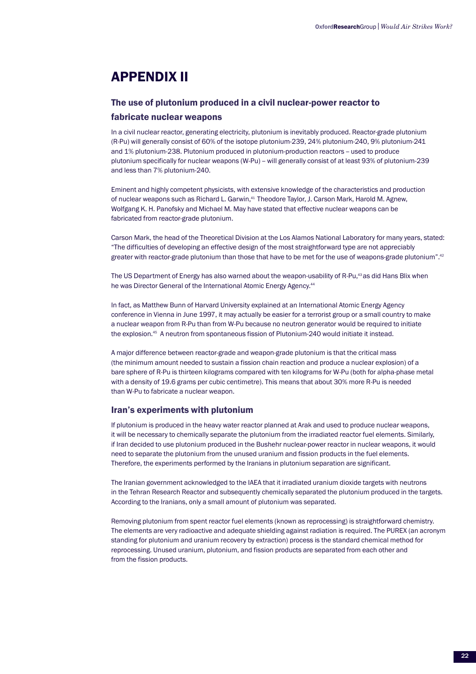# APPENDIX II

# The use of plutonium produced in a civil nuclear-power reactor to

### fabricate nuclear weapons

In a civil nuclear reactor, generating electricity, plutonium is inevitably produced. Reactor-grade plutonium (R-Pu) will generally consist of 60% of the isotope plutonium-239, 24% plutonium-240, 9% plutonium-241 and 1% plutonium-238. Plutonium produced in plutonium-production reactors - used to produce plutonium specifically for nuclear weapons (W-Pu) – will generally consist of at least 93% of plutonium-239 and less than 7% plutonium-240.

Eminent and highly competent physicists, with extensive knowledge of the characteristics and production of nuclear weapons such as Richard L. Garwin,<sup>41</sup> Theodore Taylor, J. Carson Mark, Harold M. Agnew, Wolfgang K. H. Panofsky and Michael M. May have stated that effective nuclear weapons can be fabricated from reactor-grade plutonium.

Carson Mark, the head of the Theoretical Division at the Los Alamos National Laboratory for many years, stated: "The difficulties of developing an effective design of the most straightforward type are not appreciably greater with reactor-grade plutonium than those that have to be met for the use of weapons-grade plutonium".<sup>42</sup>

The US Department of Energy has also warned about the weapon-usability of R-Pu,<sup>43</sup> as did Hans Blix when he was Director General of the International Atomic Energy Agency.<sup>44</sup>

In fact, as Matthew Bunn of Harvard University explained at an International Atomic Energy Agency conference in Vienna in June 1997, it may actually be easier for a terrorist group or a small country to make a nuclear weapon from R-Pu than from W-Pu because no neutron generator would be required to initiate the explosion.45 A neutron from spontaneous fission of Plutonium-240 would initiate it instead.

A major difference between reactor-grade and weapon-grade plutonium is that the critical mass (the minimum amount needed to sustain a fission chain reaction and produce a nuclear explosion) of a bare sphere of R-Pu is thirteen kilograms compared with ten kilograms for W-Pu (both for alpha-phase metal with a density of 19.6 grams per cubic centimetre). This means that about 30% more R-Pu is needed than W-Pu to fabricate a nuclear weapon.

### Iran's experiments with plutonium

If plutonium is produced in the heavy water reactor planned at Arak and used to produce nuclear weapons, it will be necessary to chemically separate the plutonium from the irradiated reactor fuel elements. Similarly, if Iran decided to use plutonium produced in the Bushehr nuclear-power reactor in nuclear weapons, it would need to separate the plutonium from the unused uranium and fission products in the fuel elements. Therefore, the experiments performed by the Iranians in plutonium separation are significant.

The Iranian government acknowledged to the IAEA that it irradiated uranium dioxide targets with neutrons in the Tehran Research Reactor and subsequently chemically separated the plutonium produced in the targets. According to the Iranians, only a small amount of plutonium was separated.

Removing plutonium from spent reactor fuel elements (known as reprocessing) is straightforward chemistry. The elements are very radioactive and adequate shielding against radiation is required. The PUREX (an acronym standing for plutonium and uranium recovery by extraction) process is the standard chemical method for reprocessing. Unused uranium, plutonium, and fission products are separated from each other and from the fission products.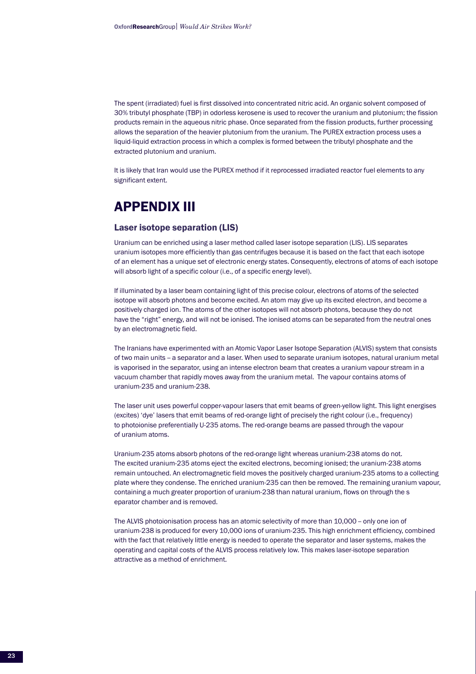The spent (irradiated) fuel is first dissolved into concentrated nitric acid. An organic solvent composed of 30% tributyl phosphate (TBP) in odorless kerosene is used to recover the uranium and plutonium; the fission products remain in the aqueous nitric phase. Once separated from the fission products, further processing allows the separation of the heavier plutonium from the uranium. The PUREX extraction process uses a liquid-liquid extraction process in which a complex is formed between the tributyl phosphate and the extracted plutonium and uranium.

It is likely that Iran would use the PUREX method if it reprocessed irradiated reactor fuel elements to any significant extent.

# APPENDIX III

### Laser isotope separation (LIS)

Uranium can be enriched using a laser method called laser isotope separation (LIS). LIS separates uranium isotopes more efficiently than gas centrifuges because it is based on the fact that each isotope of an element has a unique set of electronic energy states. Consequently, electrons of atoms of each isotope will absorb light of a specific colour (i.e., of a specific energy level).

If illuminated by a laser beam containing light of this precise colour, electrons of atoms of the selected isotope will absorb photons and become excited. An atom may give up its excited electron, and become a positively charged ion. The atoms of the other isotopes will not absorb photons, because they do not have the "right" energy, and will not be ionised. The ionised atoms can be separated from the neutral ones by an electromagnetic field.

The Iranians have experimented with an Atomic Vapor Laser Isotope Separation (ALVIS) system that consists of two main units - a separator and a laser. When used to separate uranium isotopes, natural uranium metal is vaporised in the separator, using an intense electron beam that creates a uranium vapour stream in a vacuum chamber that rapidly moves away from the uranium metal. The vapour contains atoms of uranium-235 and uranium-238.

The laser unit uses powerful copper-vapour lasers that emit beams of green-yellow light. This light energises (excites) 'dye' lasers that emit beams of red-orange light of precisely the right colour (i.e., frequency) to photoionise preferentially U-235 atoms. The red-orange beams are passed through the vapour of uranium atoms.

Uranium-235 atoms absorb photons of the red-orange light whereas uranium-238 atoms do not. The excited uranium-235 atoms eject the excited electrons, becoming ionised; the uranium-238 atoms remain untouched. An electromagnetic field moves the positively charged uranium-235 atoms to a collecting plate where they condense. The enriched uranium-235 can then be removed. The remaining uranium vapour, containing a much greater proportion of uranium-238 than natural uranium, flows on through the s eparator chamber and is removed.

The ALVIS photoionisation process has an atomic selectivity of more than 10,000 - only one ion of uranium-238 is produced for every 10,000 ions of uranium-235. This high enrichment efficiency, combined with the fact that relatively little energy is needed to operate the separator and laser systems, makes the operating and capital costs of the ALVIS process relatively low. This makes laser-isotope separation attractive as a method of enrichment.